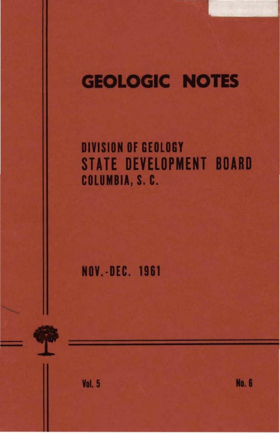# **GEOLOGIC NOTES**

## **DIVISION OF GEOLOGY STATE DEVELOPMENT BOARD** COLUMBIA, S. C.

**NOV.-DEC. 1961** 

**Vol. 5** 

**No. 6**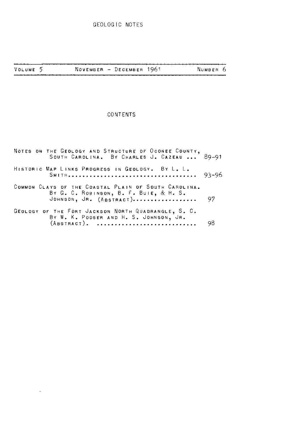| VOLUME 5 |  |  | NOVEMBER - DECEMBER 1961 |  | NUMBER 6 |  |
|----------|--|--|--------------------------|--|----------|--|
|----------|--|--|--------------------------|--|----------|--|

### CONTENTS

| NOTES ON THE GEOLOGY AND STRUCTURE OF OCONEE COUNTY,<br>SOUTH CAROLINA. BY CHARLES J. CAZEAU  89-91                            |    |
|--------------------------------------------------------------------------------------------------------------------------------|----|
| HISTORIC MAP LINKS PROGRESS IN GEOLOGY. BY L. L.                                                                               |    |
| COMMON CLAYS OF THE COASTAL PLAIN OF SOUTH CAROLINA.<br>BY G. C. ROBINSON, B. F. BUIE, & H. S.<br>JOHNSON, JR. $(ABSTRACT)$ 97 |    |
| GEOLOGY OF THE FORT JACKSON NORTH QUADRANGLE, S. C.<br>BY W. K. POOSER AND H. S. JOHNSON, JR.<br>(ABSTRACT).                   | 98 |

 $\cdot$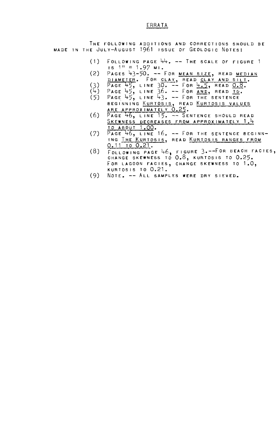#### **ERRATA**

THE FOLLOWING ADDITIONS AND CORRECTIONS SHOULD BE MADE IN THE JULY-AUGUST 1961 ISSUE OF GEOLOGIC NOTES:

- $(1)$ FOLLOWING PAGE  $44. - -$ The scale of Figure 1  $1s$  1" = 1.97 MI.
- (2) PAGES 43-50. -- FOR MEAN SIZE, READ MEDIAN DIAMETER. FOR CLAY, READ CLAY AND SILT.<br>PAGE 45, LINE 30. -- FOR 4.5, READ 0.8.
- (3)
- $(4)$ PAGE 45, LINE 36. -- FOR <mark>AND</mark>, READ <u>TO</u>.<br>PAGE 45, LINE 43. -- FOR THE SENTENCE
- $(5)$ BEGINNING <u>KURTOSIS</u>, READ <u>KURTOSIS VALUES</u><br><u>ARE APPROXIMATELY 0.25</u>.<br>Page 46, LINE 15. -- Sentence should read
- (6) SKEWNESS DECREASES FROM APPROXIMATELY 1.4 TO ABOUT 1.00.
- (7) PAGE 46, LINE 16. -- FOR THE SENTENCE BEGINN-<br>Ing The Kurtosis, Read Kurtosis Ranges From 0.11 TO 0.21.
- (8) FOLLOWING PAGE 46, FIGURE 3.--FOR BEACH FACIES,<br>CHANGE SKEWNESS TO 0.8, KURTOSIS TO 0.25. FOR LAGOON FACIES, CHANGE SKEWNESS TO 1.0, KURTOSIS TO 0.21.
- (9) NOTE. -- ALL SAMPLES WERE DRY SIEVED.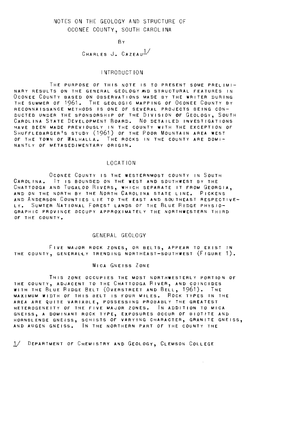#### NOTES ON THE GEOLOGY AND STRUCTURE OF OCONEE COUNTY, SOUTH CAROLINA

**B**Y

CHARLES J. CAZEAU<sup>1/</sup>

#### INTRODUCTION

THE PURPOSE OF THIS NOTE IS TO PRESENT SOME PRELIMI-NARY RESULTS ON THE GENERAL GEOLOGY AND STRUCTURAL FEATURES IN OcONEE COUNTY BASED ON OBSERVATIONS MADE BY THE WRITER DURING THE SUMMER OF 1961. THE GEOLOGIC MAPPING OF OCONEE COUNTY BY RECONNAISSANCE METHODS IS ONE OF SEVERAL PROJECTS BEING CON-DUCTED UNDER THE SPONSORSHIP OF THE DIVISION OF GEOLOGY, SOUTH CAROLINA STATE DEVELOPMENT BOARD. No DETAILED INVESTIGATIONS HAVE BEEN MADE PREVIOUSLY IN THE COUNTY WITH THE EXCEPTION OF<br>Shufflebarger's study (1961) of the Poor Mountain area west OF THE TOWN OF WALHALLA. THE ROCKS IN THE COUNTY ARE DOMI-NANTLY OF METASEDIMENTARY ORIGIN.

#### LOCATION

OCONEE COUNTY IS THE WESTERNMOST COUNTY IN SOUTH CAROL INA. IT IS BOUNDED ON THE WEST AND SOUTHWEST BY THE CHATTOOGA AND TUGALOO RIVERs, WHICH SEPARATE IT FROM GEORGIA, AND ON THE NORTH BY THE NORTH CAROLINA STATE LINE. PiCKENS AND ANDERSON COUNTIES LIE TO THE EAST AND SOUTHEAST RESPECTIVE-LY. SUMTER NATIONAL FOREST LANDS OF THE BLUE RIDGE PHYSIO-GRAPHIC PROVINCE OCCUPY APPROXIMATELY THE NORTHWESTERN THIRD OF THE COUNTY.

#### GENERAL GEOLOGY

FIVE MAJOR ROCK ZONES, OR BELTS, APPEAR TO EXIST IN THE COUNTY, GENERALLY TRENDING NORTHEAST-SOUTHWEST (FIGURE 1).

#### MICA GNEISS ZONE

THIS ZONE OCCUPIES THE MOST NORTHWESTERLY PORTION OF THE COUNTY, ADJACENT TO THE CHATTOOGA RIVER, AND COINCIDES WITH THE BLUE RIDGE BELT (OVERSTREET AND BELL, 1961). THE MAXIMUM WIDTH OF THIS BELT IS FOUR MILES. ROCK TYPES IN THE AREA ARE QUITE VARIABLE, POSSESSING PROBABLY THE GREATEST HETEROGENEITY OF THE FIVE MAJOR ZONES. IN ADDITION TO MICA GNEISS, A DOMINANT ROCK TY<mark>PE, EX</mark>POSURES OCCUR OF BIOTITE AND<br>HORNBLENDE GNEISS, SCHISTS OF VARYING CHARACTER, GRANITE GNEISS, AND AUGEN GNEISS. IN THE NORTHERN PART OF THE COUNTY THE

1/ DEPARTMENT OF CHEMISTRY AND GEOLOGY, CLEMSON COLLEGE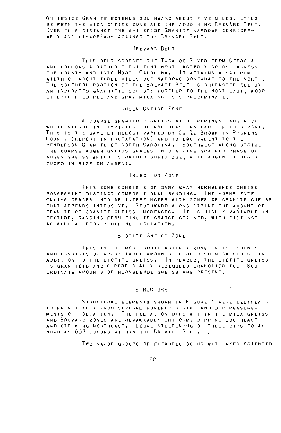WHITESIDE GRANITE EXTENDS SOUTHWARD ABOUT FIVE MILES, LYING BETWEEN THE MICA GNEISS ZONE AND THE ADJOINING BREVARD BELT. OVER THIS DISTANCE THE WHITESIDE GRANITE NARROWS CONSIDER-ABLY AND DISAPPEARS AGAINST THE BREVARD BELT.

#### BREVARD BELT

THIS BELT CROSSES THE TUGALOO RIVER FROM GEORGIA AND FOLLOWS A RATHER PERSISTENT NORTHEASTERLY COURSE ACROSS THE COUNTY AND INTO NORTH CAROLINA. IT ATTAINS A MAXIMUM WIDTH OF ABOUT THREE MILES BUT NARROWS SOMEWHAT TO THE NORTH. THE SOUTHERN PORTION OF THE BREVARD BELT IS CHARACTERIZED BY AN INDURATED GRAPHITIC SCHIST; FURTHER TO THE NORTHEAST, POOR-LY LITHIFIED RED AND GRAY MICA SCHISTS PREDOMINATE.

#### AUGEN GNEISS ZONE

A COARSE GRANITOID GNEISS WITH PROMINENT AUGEN OF WHITE MICROCLINE TYPIFIES THE NORTHEASTERN PART OF THIS ZONE. THIS IS THE SAME LITHOLOGY MAPPED BY C. Q. BROWN IN PICKENS COUNTY (REPORT IN PREPARATION) AND IS EQUIVALENT TO THE HENDERSON GRANITE OF NORTH CAROLINA. SOUTHWEST ALONG STRIKE THE COARSE AUGEN GNEISS GRADES INTO A FINE GRAINED PHASE OF AUGEN GNEISS WHICH IS RATHER SCHISTOSE, WITH AUGEN EITHER RE-DUCED IN SIZE OR ABSENT.

#### INJECTION ZONE

THIS ZONE CONSISTS OF DARK GRAY HORNBLENDE GNEISS POSSESSING DISTINCT COMPOSITIONAL BANDING. THE HORNBLENDE GNEISS GRADES INTO OR INTERFINGERS WITH ZONES OF GRANITE GNEISS THAT APPEARS INTRUSIVE. SOUTHWARD ALONG STRIKE THE AMOUNT OF GRANITE DR GRANITE GNEISS INCREASES. IT IS HIGHLY VARIABLE IN TEXTURE, RANGING FROM FINE TO COARSE GRAINED, WITH DISTINCT AS WELL AS POORLY DEFINED FOLIATION.

#### BIOTITE GNEISS ZONE

THIS IS THE MOST SOUTHEASTERLY ZONE IN THE COUNTY AND CONSISTS OF APPRECIABLE AMOUNTS OF REDDISH MICA SCHIST IN ADDITION TO THE BIOTITE GNEISS. IN PLACES, THE BIOTITE GNEISS IS GRANITOID AND SUPERFICIALLY RESEMBLES GRANODIORITE. SUB-ORDINATE AMOUNTS OF HORNBLENDE GNEISS ARE PRESENT.

#### **STRUCTURE**

STRUCTURAL ELEMENTS SHOWN IN FIGURE 1 WERE DELINEAT-ED PRINCIPALLY FROM SEVERAL HUNDRED STRIKE AND DIP MEASURE-MENTS OF FOLIATION. THE FOLIATION DIPS WITHIN THE MICA GNEISS AND BREVARD ZONES ARE REMARKABLY UNIFORM, DIPPING SOUTHEAST AND STRIKING NORTHEAST. LOCAL STEEPENING OF THESE DIPS TO AS MUCH AS 600 OCCURS WITHIN THE BREVARD BELT.

Two MAJOR GROUPS OF FLEXURES OCCUR WITH AXES ORIENTED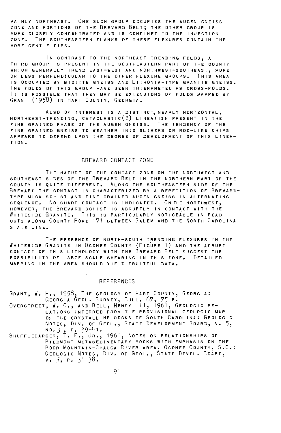MAINLY NORTHEAST. ONE SUCH GROUP OCCUPIES THE AUGEN GNEISS ZONE AND PORTIONS OF THE BREVARD BELT; THE OTHER GROUP IS MORE CLOSELY CONCENTRATED AND IS CONFINED TO THE INJECTION ZONE. THE SOUTHEASTERN FLANKS OF THESE FLEXURES CONTAIN THE MORE GENTLE DIPS.

IN CONTRAST TO THE NORTHEAST TRENDING FOLDS. A THIRD GROUP IS PRESENT IN THE SOUTHEASTERN PART OF THE COUNTY WHICH GENERALLY TREND EAST-WEST AND NORTHWEST-SOUTHEAST, MORE OR LESS PERPENDICULAR TO THE OTHER FLEXURE GROUPS. THIS AREA IS OCCUPIED BY BIOTITE GNEISS AND LITHONIA-TYPE GRANITE GNEISS. THE FOLDS OF THIS GROUP HAVE BEEN INTERPRETED AS CROSS-FOLDS. IT IS POSSIBLE THAT THEY MAY BE EXTENSIONS OF FOLDS MAPPED BY GRANT (1958) IN HART COUNTY, GEORGIA.

ALSO OF INTEREST IS A DISTINCT, NEARLY HOR'IZONTAL, NORTHEAST-TRENDING, CATACLASTIC(?) LINEATION PRESENT IN THE FINE GRAINED PHASE OF THE AUGEN GNEISS. THE TENDENCY OF THE FINE GRAINED GNEISS TO WEATHER INTO SLIVERS OR ROD-LIKE CHIPS APPEARS TO DEPEND UPON THE DEGREE OF DEVELOPMENT OF THIS LINEA-TION.

#### BREVARD CONTACT ZONE

THE NATURE OF THE CONTACT ZONE ON THE NORTHWEST AND SOUTHEAST SIDES OF THE BREVARD BELT IN THE NORTHERN PART OF THE COUNTY IS QUITE DIFFERENT. ALONG THE SOUTHEASTERN SIDE OF THE BREVARD THE CONTACT IS CHARACTERIZED BY A REPETITION OF BREVARD-TYPE MICA SCHIST AND FINE GRAINED AUGEN GNEISS IN ALTERNATING SEQUENCE. NO SHARP CONTACT IS INDICATED. ON THE NORTHWEST, HOWEVER, THE BREVARD SCHIST IS ABRUPTLY IN CONTACT WITH THE WHITESIDE GRANITE. THIS IS PARTICULARLY NOTICEABLE IN ROAD CUTS ALONG COUNTY ROAD 171 BETWEEN SALEM AND THE NORTH CAROLINA STATE LINE.

THE PRESENCE OF NORTH-SOUTH TRENDING FLEXURES IN THE WHITESIDE GRANITE IN OCONEE COUNTY (FIGURE 1) AND THE ABRUPT CONTACT OF THIS LITHOLOGY WITH THE BREVARD BELT SUGGEST THE POSSIBILITY OF LARGE SCALE SHEARING IN THIS ZONE. DETAILED MAPPING IN THE AREA SHOULD YIELD FRUITFUL DATA.

#### **REFERENCES**

GRANT, W. H., 1958, THE GEOLOGY OF HART COUNTY, GEORGIA: GEORGIA GEOL. SURVEY, BULL. 67, 75 P. OvERSTREET, W. C., AND BELL, HENRY I I I, 1961, GEOLOGIC RE-LATIONS INFERRED FROM THE PROVISIONAL GEOLOGIC MAP OF THE CRYSTALLINE ROCKS OF SOUTH CAROLINA: GEOLOGIC<br>NOTES, DIV. OF GEOL., STATE DEVELOPMENT BOARD, V. 5, NO.3, P. 39-41.<br>Shufflebarger, T. E., Jr., 1961, Notes on relationships of

PIEDMONT METASEDIMENTARY ROCKS WITH EMPHASIS ON THE POOR MOUNTAIN-CHAUGA RIVER AREA, OcONEE COUNTY, S.C.: GEOLOGIC NOTES, Dlv. OF GEOL., STATE DEVEL. BOARD,  $v. 5, r. 31 - 38.$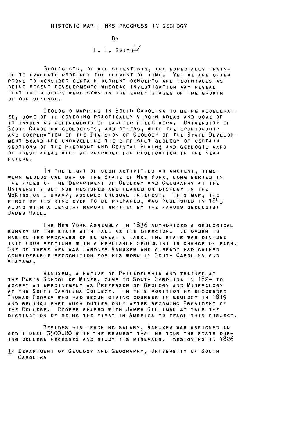BY L. L.  $S$ MITH $^{1/}$ 

GEOLOGISTS, OF ALL SCIENTISTS, ARE ESPECIALLY TRAIN-ED TO EVALUATE PROPERLY THE ELEMENT OF TIME, YET WE ARE OFTEN PRONE TO CONSIDER CERTAIN CURRENT CONCEPTS AND TECHNIQUES AS BEING RECENT DEVELOPMENTs' WHEREAS INVESTIGATION MAY REVEAL THAT THEIR SEEDS WERE SOWN IN THE EARLY STAGES OF THE GROWTH OF OUR SCIENCE,

GEOLOGIC MAPPING IN SOUTH CAROL INA IS BEING ACCELERAT-ED, SOME OF IT COVERING PRACTICALLY VIRGIN AREAS AND SOME OF IT INVOLVING REFINEMENTS OF EARLIER FIELD WORK, UNIVERSITY OF SOUTH CAROLINA GEOLOGISTS, AND OTHERS, WITH THE SPONSORSHIP AND COOPERATION OF THE DIVISION OF GEOLOGY OF THE STATE DEVELOP-MENT BOARD ARE UNRAVELLING THE DIFFICULT GEOLOGY OF CERTAIN SECTIONS OF THE PIEDMONT AND COASTAL PLAIN; AND GEOLOGIC MAPS OF THESE AREAS WILL BE PREPARED FOR PUBLICATION IN THE NEAR FUTURE,

IN THE LIGHT OF SUCH ACTIVITIES AN ANCIENT, TIME-WORN GEOLOGICAL MAP OF THE STATE OF NEW YORK, LONG BURIED IN THE FILES OF THE DEPARTMENT OF GEOLOGY AND GEOGRAPHY AT THE UNIVERSITY BUT NOW RESTORED AND PLACED ON DISPLAY IN THE McKISSICK LIBRARY, ASSUMES UNUSUAL INTEREST. THIS MAP, THE FIRST OF ITS KIND EVER TO BE PREPARED, WAS PUBLISHED IN 1843<br>Along With a lengthy report written by the famous geologist JAMES HALL,

THE NEW YORK ASSEMBLY IN 1836 AUTHORIZED A GEOLOGICAL SURVEY OF THE STATE WITH HALL AS ITS DIRECTOR, IN ORDER TO HASTEN THE PROGRESS OF SO GREAT A TASK, THE STATE WAS DIVIDED INTO FOUR SECTIONS WITH A REPUTABLE GEOLOG 1ST IN CHARGE OF EACH, ONE OF THESE MEN WAS LARDNER VANUXEM WHO ALREADY HAD GAINED CONSIDERABLE RECOGNITION FOR HIS WORK IN SOUTH CAROLINA AND ALABAMA,

VANUXEM, A NATIVE OF PHILADELPHIA AND TRAINED AT THE PARIS SCHOOL OF MINES, CAME TO SOUTH CAROLINA IN 1824 TO ACCEPT AN APPOINTMENT AS PROFESSOR OF GEOLOGY AND MINERALOGY AT THE SOUTH CAROLINA COLLEGE, IN THIS POSITION HE SUCCEEDED THOMAS COOPER WHO HAD BEGUN GIVING COURSES IN GEOLOGY IN 1819 AND RELINQUISHED SUCH DUTIES ONLY AFTER BECOMING PRESIDENT OF THE COLLEGE, COOPER SHARED WITH JAMES SILLIMAN AT YALE THE DISTINCTION OF BEING THE FIRST IN AMERICA TO TEACH THIS SUBJECT,

BESIDES HIS TEACHING SALARY, VANUXEM WAS ASSIGNED AN ADD IT IONAL \$500.00 WITH THE REQUEST THAT HE TOUR THE STATE DUR-ING COLLEGE RECESSES AND STUDY ITS MINERALS. RESIGNING IN 1826

1/ DEPARTMENT OF GEOLOGY AND GEOGRAPHY, UNIVERSITY OF SOUTH CAROLINA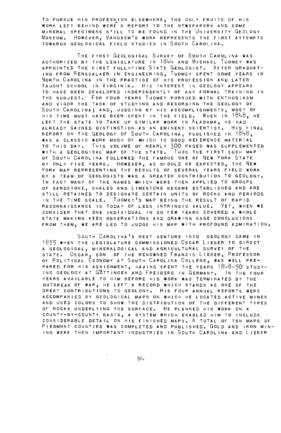TO PURSUE HIS PROFESSION ELSEWHERE, THE ONLY FRUITS OF HIS WORK LEFT BEHIND WERE A REPORT TO THE N'WSPAPERS AND SOME MINERAL SPECIMENS S'ILL TO BE FOUND IN THE UNIVERSITY GEOLOGY MUSEUM. HOWEVER, VANUXEM 1S WORK REPRESENTS THE FIRST ATTEMPTS TOWARDS GEOLOGICAL FIELD STUDIES IN SOUTH CAROLINA.

THE FIRST GEOLOGICAL SURVEY OF SOUTH CAROL INA WAS AUTHORIZED BY THE LEGISLATURE IN 1844 AND MiCHAEL TUOMEY WAS APPOINTED THE FIRST FULL-TIME STATE GEOLOGIST. AFTER GRADUAT-ING FROM RENSSALAER IN ENGINEERING, TuoMEY SPENT SOME YEARS IN NORTH CAROLINA IN THE PRACTICE OF HIS PROFESSION AND LATER TAUGHT SCHOOL IN VIRGINIA. HIS INTEREST IN GEOLOGY APPEARS TO HAVE BEEN DEVELOPED INDEPENDENTLY OF ANY FORMAL TRAINING IN THE SUBJECT. FoR FOUR YEARS TUOMEY PURSUED WITH ENTHUSIASM AND VIGOR THE TASK OF STUDYING AND RECORDING THE.GEOLOGY OF SOUTH CAROLINA; AND, JUDGING BY HIS ACCOMPLISHMENTS, MOST OF HIS TIME MUST HAVE BEEN SPENT IN THE FIELD. WHEN IN 1848, HE LEFT THE STATE TO TAKE UP SIMILAR WORK IN ALABAMA, HE HAD ALREADY GAINED DISTINCTION AS AN EMINENT SCIENTIST. HIS FINAL REPORT ON THE GEOLOGY OF SOUTH CAROLINA, PUBLISHED IN 1848, WAS A CLASSIC WORK MUCH OF WHICH IS GOOD REFERENCE MATERIAL TO THIS DAY. THIS VOLUME OF NEARLY 300 PAGES WAS SUPPLEMENTED WITH A GEOLOGICAL MAP OF THE STATE. THUS THE FIRST SUCH MAP OF SOUTH CAROLINA FOLLOWED THE FAMOUS ONE OF NEW YORK STATE BY ONLY FIVE YEARS. HOWEVER, AS SHOULD BE EXPECTED, THE NEW YORK MAP REPRESENTING THE RESULTS OF SEVERAL YEARS FIELD WORK BY A TEAM OF GEOLOGISTS WAS A GREATER CONTRIBUTION TO GEOLOGY. IN FACT MANY OF THE NAMES WHICH WERE THEN APPLIED TO GROUPS OF SANDSTONE, SHALES AND LIMESTONE BECAME ESTABLISHED AND ARE STILL RETAINED TO DESIGNATE CERTAIN UNITS OF ROCKS AND PERIODS IN THE TIME SCALE. TUOMEY'S MAP BEING THE RESULT OF RAPID RECONNAISSANCE IS TODAY OF LESS INTRINSIC VALUE. YET, WHEN WE CONSIDER THAT ONE INDIVIDUAL IN SO FEW YEARS COVERED A WHOLE STATE MAKING KEEN OBSERVATIONS AND DRAWING SAGE CONCLUSIONS FROM THEM, WE ARE LED TO JUDGE HIS MAP WITH PROFOUND ADMIRATION.

SOUTH CAROLINA'S NEXT VENTURE INTO GEOLOGY CAME IN 1855 WHEN THE LEGISLATURE COMMISSIONED OSCAR LIEBER TO DIRECT A GEOLOGICAL, MINERALOGICAL AND AGRICULTURAL SURVEY OF THE STATE. OSCAR, SON OF THE RENOWNED FRANCIS LIEBER, PROFESSOR OF POLITICAL ECONOMY AT SOUTH CAROLINA COLLEGE, WAS WELL PRE-PARED FOR HIS ASSIGNMENT, HAVING SPENT THE YEARS 1848-50 STUDY-ING GEOLOGY AT GOTTINGEN AND FREIBERG IN GERMANY. IN THE FOUR YEARS AVAILABLE TO HIM BEFORE HIS WORK WAS TERMINATED BY THE OUTBREAK OF WAR, HE LEFT A RECORD WHICH STANDS AS ONE OF THE GREAT CONTRIBUTIONS TO GEOLOGY. HIS FOUR ANNUAL REPORTS WERE ACCOMPANIED BY GEOLOGICAL MAPS ON WHICH HE LOCATED ACTIVE MINES AND USED COLORS TO SHOW THE DISTRIBUTION OF THE DIFFERENT TYPES OF ROCKS UNDERLYING THE SURFACE. HE PLANNED HIS WORK ON A COUNTY-BY-COUNTY BASIS, A SYSTEM WHICH ENABLED HIM TO INCLUDE CONSIDERABLE DETAIL ON HIS FINISHED MAPS. A TOTAL OF TEN MAPS OF PiEDMONT COUNTIES WAS COMPLETED AND PUBLISHED. GOLD AND IRON MIN-ING WERE THEN IMPORTANT INDUSTRIES IN SOUTH CAROLINA AND LIEBER

 $Q_+$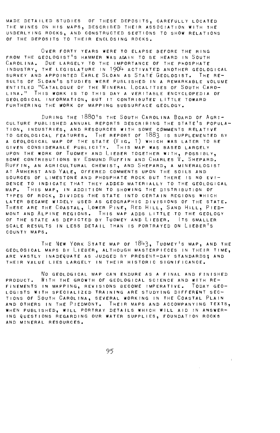MADE DETAILED STUDIES OF THESE DEPOSITS, CAREFULLY LOCATED THE MINES ON HIS MAPS, DESCRIBED THEIR ASSOCIATION WITH THE UNDERLYING ROCKS, AND CONSTRUCTED SECTIONS TO SHOW RELATIONS OF THE DEPOSITS TO THEIR ENCLOSING ROCKS.

OVER FORTY YEARS WERE TO ELAPSE BEFORE THE RING FROM THE GEOLOGIST<sup>'</sup>S HAMMER WAS AGAIN TO BE HEARD IN SOUTH CAROLINA. DUE LARGELY TO THE IMPORTANCE OF THE PHOSPHATE INDUSTRY, THE LEGISLATURE IN 1904 ACTIVATED ANOTHER GEOLOGICAL SURVEY AND APPOINTED EARLE SLOAN AS STATE GEOLOGIST. THE RE-SULTS OF SLOAN'S STUDIES WERE PUBLISHED IN A REMARKABLE VOLUME ENTITLED "CATALOGUE OF THE MINERAL LOCALITIES OF SOUTH CARO-LINA." THIS WORK IS TO THIS DAY A VERITABLE ENCYCLOPEDIA OF GEOLOGICAL INFORMATION, BUT IT CONTRIBUTEE LITTLE TOWARD FURTHERING THE WORK OF MAPPING SUBSURFACE GEOLOGY.

DURING THE 1880'S THE SOUTH CAROLINA BOARD OF AGRI-CULTURE PUBLISHED ANNUAL REPORTS DESCRIBING THE STATE'S POPULA-TION, INDUSTRIES, AND RESOURCES WITH SOME COMMENTS RELATIVE TO GEOLOGICAL FEATURES. THE REPORT OF 1883 IS SUPPLEMENTED BY A GEOLOGICAL MAP OF THE STATE (FIG. 1) WHICH WAS LATER TO BE GIVEN CONSIDERABLE PUBLICITY. THIS MAP WAS BASED LARGELY UPON THE WORK OF TUOMEY AND LIEBER TOGETHER WITH, POSSIBLY, SOME CONTRIBUTIONS BY EDMUND RUFFIN AND CHARLES V. SHEPARD. RUFFIN, AN AGRICULTURAL CHEMIST, AND SHEPARD, A MINERALOGIST AT AMHERST AND YALE, OFFERED COMMENTS UPON THE SOILS AND SOURCES OF LIMESTONE AND PHOSPHATE ROCK BUT THERE IS NO EVI-DENCE TO INDICATE THAT THEY ADDED MATERIALLY TO THE GEOLOGICAL MAP. THIS MAP, IN ADDITION TO SHOWING THE DISTRIBUTION OF TYPES OF ROCK, DIVIDES THE STATE INTO CERTAIN REGIONS WHICH LATER BECAME WIDELY USED AS GEOGRAPHIC DIVISIONS OF THE STATE. THESE ARE THE COASTAL, LOWER PINE, RED HILL, SAND HILL, PIED-MONT AND ALPINE REGIONS. THIS MAP ADDS LITTLE TO THE GEOLOGY OF THE STATE AS DEPICTED BY TUOMEY AND LIEBER. ITs SMALLER SCALE RESULTS IN LESS DETAIL THAN IS PORTRAYED ON LIEBER'S COUNTY MAPS.

THE NEW YORK STATE MAP OF 1843. TUOMEY'S MAP, AND THE GEOLOGICAL MAPS BY LIEBER, ALTHOUGH MASTERPIECES IN THEIR TIME, ARE VASTLY INADEQUATE AS JUDGED BY PRESENT-DAY STANDARDS; AND THEIR VALUE LIES LARGELY IN THEIR HISTORIC SIGNIFICANCE.

No GEOLOGICAL MAP CAN ENDURE AS A FINAL AND FINISHED PRODUCT. WITH THE GROWTH OF GEOLOGICAL SCIENCE AND WITH RE-FINEMENTS IN MAPPING, REVISIONS BECOME IMPERATIVE. TODAY GEO-LOGISTS WITH SPECIALIZED TRAINING ARE STUDYING DIFFERENT SEC-TIONS OF SOUTH CAROLINA, SEVERAL WORKING IN THE COASTAL PLAIN AND OTHERS IN THE PIEDMONT. THEIR MAPS AND ACCOMPANYING TEXTS, WHEN PUBLISHED, WILL PORTRAY DETAILS WHICH WILL AID IN ANSWER-ING QUESTIONS REGARDING OUR WATER SUPPLIES, FOUNDATION ROCKS AND MINERAL RESOURCES.

95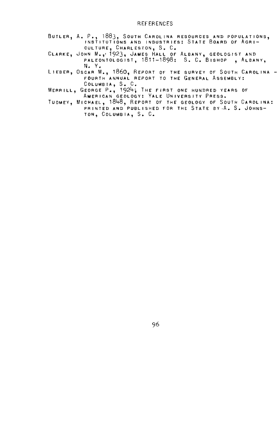#### REFERENCES

- BUTLER, A. P., 1883, SOUTH CAROLINA RESOURCES AND POPULATIONS. INSTITUTIONS AND INDUSTRIES: STATE BOARD Of AGRI-CULTURE, CHARLESTON, S. C,
- CLARKE, JOHN M,,• 1923, JAMES HALL Of ALBANY, GEOLOGiST AND PALEONTOLOGIST, 1811-1898: S. C. BISHOP , ALBANY, N. y •
- LIEBER, Oscar M., 1860, REPORT OF THE SURVEY OF SOUTH CAROLINA -<br>FOURTH ANNUAL REPORT TO THE GENERAL ASSEMBLY;<br>COLUMBIA, S. C.
- MERRILL, GEORGE P,, 19241 THE fiRST ONE HUNDRED YEARS Or AMERICAN GEOLOGY: YALE UNIVERSITY PRESS.
- TUOMEV, MICHAEL, 1848, REPORT Of THE GEOLOGY Of SOUTH CAROLINA: PRINTED AND PUBLISHED FOR THE STATE BY A. S. JOHNS-TON, COLUMBIA, S, C.

96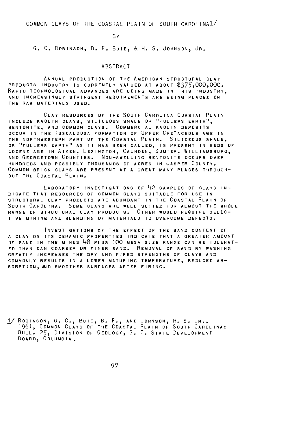COMMON CLAYS OF THE COASTAL PLAIN OF SOUTH CAROLINAl/

E:Y

G. C. ROBINSON, B. F. BUIE, & H. S. JOHNSON, JR.

#### ABSTRACT

ANNUAL PRODUCTION OF THE AMERICAN STRUCTURAL CLAY PRODUCTS INDUSTRY IS CURRENTLY VALUED AT ABOUT \$375,000,000. RAPID TECHNOLOGICAL ADVANCES ARE BEING MADE IN THIS INDUSTRY, AND INCREASINGLY STRINGENT REQUIREMENTS ARE BEING PLACED ON THE RAW MATERIALS USED.

CLAY RESOURCES OF THE SOUTH CAROLINA COASTAL PLAIN INCLUDE KAOLIN CLAYS, SILICEOUS SHALE OR <sup>It</sup>fullers earth", BENTONITE, AND COMMON CLAYS. COMMERCIAL KAOLIN DEPOSITS OCCUR IN THE TUSCALOOSA FORMATION OF UPPER CRETACEOUS AGE IN<br>THE NORTHWESTERN PART OF THE COASTAL PLAIN. SILICEOUS SHALE, OR "FULLERS EARTH" AS IT HAS BEEN CALLED, IS PRESENT IN BEDS OF EOCENE AGE IN AIKEN, LEXINGTON, CALHOUN, SUMTER, WILLIAMSBURG, AND GEORGETOWN COUNTIES. NON-SWELLING BENTONITE OCCURS OVER HUNDREDS AND POSSIBLY THOUSANDS OF ACRES IN JASPER COUNTY. COMMON BRICK CLAYS ARE PRESENT AT A GREAT MANY PLACES THROUGH-OUT THE COASTAL PLAIN.

LABORATORY INVESTIGATIONS OF  $42$  samples of clays in-DICATE THAT RESOURCES OF COMMON CLAYS SUITABLE FOR USE IN STRUCTURAL CLAY PRODUCTS ARE ABUNDANT IN THE COASTAL PLAIN OF SOUTH CAROLINA. SOME CLAYS ARE WELL SUITED FOR ALMOST THE WHOLE RANGE OF STRUCTURAL CLAY PRODUCTS. OTHER WOULD REQUIRE SELEC-TIVE MINING AND BLENDING OF MATERIALS TO OVERCOME DEFECTS.

INVESTIGATIONS OF THE EFFECT OF THE SAND CONTENT OF A CLAY ON ITS CERAMIC PROPERTIES INDICATE THAT A GREATER AMOUNT OF SAND IN THE MINUS  $48$  PLUS 100 MESH SIZE RANGE CAN BE TOLERAT-ED THAN CAN COARSER DR FINER SAND. REMOVAL OF SAND BY WASHING GREATLY INCREASES THE DRY AND FIRED S7RENGTHS OF CLAYS AND COMMONLY RESULTS IN A LOWER MATURING TEMPERATURE, REDUCED AB-SORPTION, AND SMOOTHER SURFACES AFTER FIRING.

1/ ROBINSON, G. C., BUIE, B. F., AND JOHNSON, H. S. JR.,<br>1961, COMMON CLAYS OF THE COASTAL PLAIN OF SOUTH CAROLINA:<br>BULL. 25, DIVISION OF GEOLOGY, S. C. STATE DEVELOPMENT BOARD, COLUMBIA.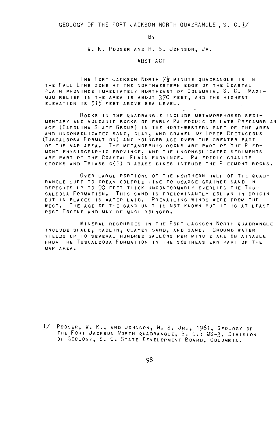GEOLOGY OF THE FORT JACKSON NORTH QUADRANGLE, S. C.l/

**R**<sub>y</sub>

w. K. POOSER AND H. s. JOHNSON, JR.

#### ABSTRACT

THE FORT JACKSON NORTH  $7\frac{1}{2}$  minute quadrangle is in THE FALL LINE ZONE AT THE NORTHWESTERN EDGE OF THE COASTAL PLAIN PROVINCE IMMEDIATELY NORTHEAST OF COLUMBIA, S. C. MAXI-MUM RELIEF IN THE AREA IS ABOUT 370 FEET, AND THE HIGHEST ELEVATION IS 515 FEET ABOVE SEA LEVEL.

ROCKS IN THE QUADRANGLE INCLUDE METAMORPHOSED SEDI-MENTARY AND VOLCANIC ROCKS OF EARLY PALEOZOIC OR LATE PRECAMBRIAN AGE (CAROLINA SLATE GROUP) IN THE NORTHWESTERN PART OF THE AREA AND UNCONSOLIDATED SAND, CLAY, AND GRAVEL OF UPPER CRETACEOUS (TUSCALOOSA FORMATION) AND YOUNGER AGE OVER THE GREATER PART OF THE MAP AREA. THE METAMORPHIC ROCKS ARE PART OF THE PIED-MONT PHYSIOGRAPHIC PROVINCE, AND THE UNCONSOLIDATED SEDIMENTS ARE PART OF THE COASTAL PLAIN PROVINCE. PALEOZOIC GRANITE STOCKS AND TRIASSIC(?) DIABASE DIKES INTRUDE THE PIEDMONT ROCKS.

OVER LARGE PORTIONS OF THE NORTHERN HALF OF THE QUAD-RANGLE BUFF TO CREAM COLORED FINE TO COARSE GRAINED SAND IN DEPOSITS UP TO 90 FEET THICK UNCONFORMABLY OVERLIES THE Tus-CALOOSA FORMATION. THIS SAND IS PREDOMINANTLY EOLIAN IN ORIGIN BUT IN PLACES IS WATER LAID. PREVAILING WINDS WERE FROM THE WEST. THE AGE OF THE SAND UNIT IS NOT KNOWN BUT IT IS AT LEAST POST EOCENE AND MAY BE MUCH YOUNGER.

MINERAL RESOURCES IN THE FORT JACKSON NORTH QUADRANGLE INCLUDE SHALE, KAOLIN, CLAYEY SAND, AND SAND. GROUND WATER YIELDS UP TO SEVERAL HUNDRED GALLONS PER MINUTE ARE OBTAINABLE FROM THE TusCALOOSA FORMATION IN THE SOUTHEASTERN PART OF THE MAP AREA.

 $1/$  POOSER, W. K., AND JOHNSON, H. S. JR., 1961, GEOLOGY OF THE FORT JACKSON NORTH QUADRANGLE, S. C.: MS-3, DIVISION OF GEOLOGY, S. C. STATE DEVELOPMENT BOARD, COLUMBIA.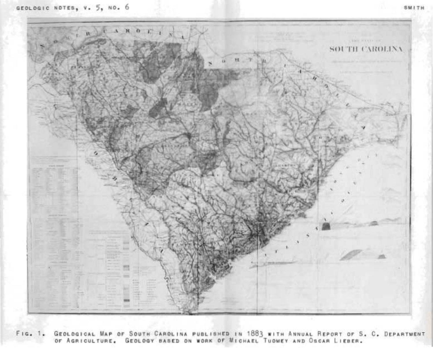

FIG. 1. GEOLOGICAL MAP OF SOUTH CAROLINA PUBLISHED IN 1883 WITH ANNUAL REPORT OF S. C. DEPARTMENT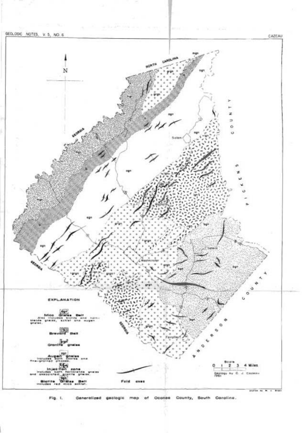

Fig. I. Generalized geologic map of Oconee County, South Carolina.